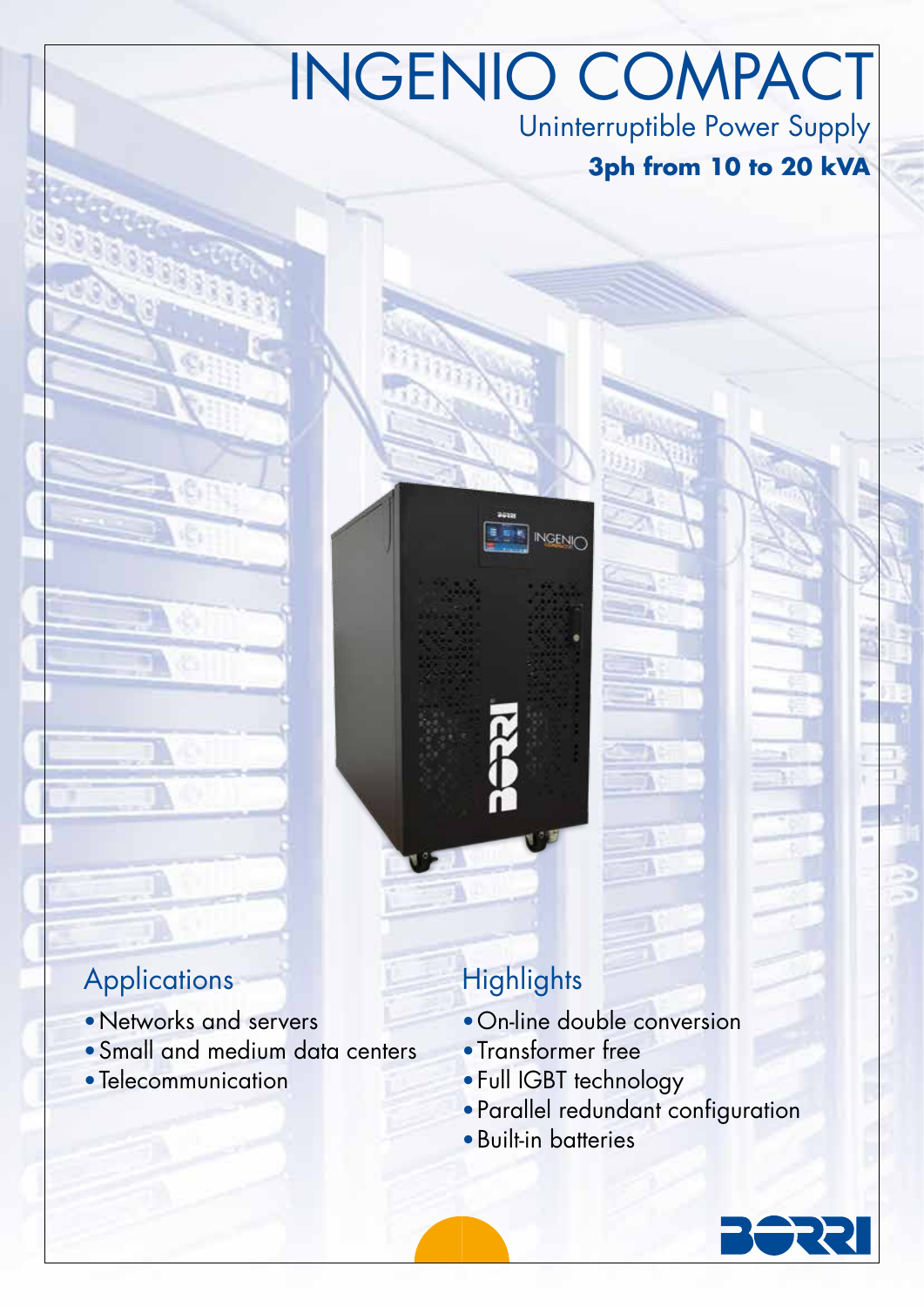# INGENIO COMPACT Uninterruptible Power Supply

## **3ph from 10 to 20 kVA**

## **Applications**

- •Networks and servers
- •Small and medium data centers
- Telecommunication

## **Highlights**

- •On-line double conversion
- •Transformer free

**INGENIC** 

- •Full IGBT technology
- •Parallel redundant configuration
- •Built-in batteries

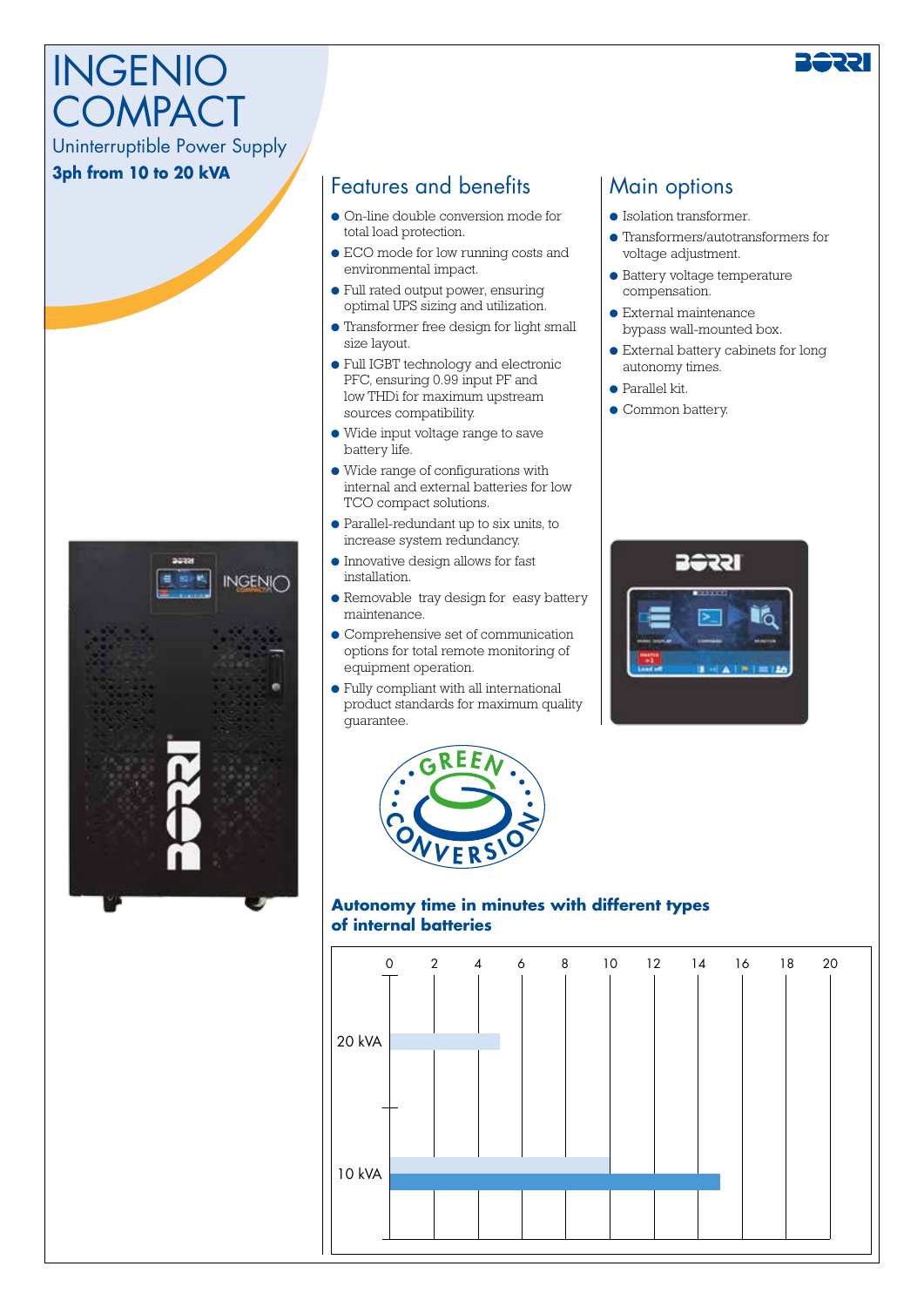# INGENIO **COMPACT**

## Uninterruptible Power Supply

#### **3ph from 10 to 20 kVA**



#### Features and benefits

- On-line double conversion mode for total load protection.
- ECO mode for low running costs and environmental impact.
- Full rated output power, ensuring optimal UPS sizing and utilization.
- Transformer free design for light small size layout.
- Full IGBT technology and electronic PFC, ensuring 0.99 input PF and low THDi for maximum upstream sources compatibility.
- Wide input voltage range to save battery life.
- Wide range of configurations with internal and external batteries for low TCO compact solutions.
- Parallel-redundant up to six units, to increase system redundancy.
- Innovative design allows for fast installation.
- Removable tray design for easy battery maintenance.
- Comprehensive set of communication options for total remote monitoring of equipment operation.
- Fully compliant with all international product standards for maximum quality guarantee.



#### **Autonomy time in minutes with different types of internal batteries**



### Main options

- Isolation transformer.
- Transformers/autotransformers for voltage adjustment.
- Battery voltage temperature compensation.
- External maintenance bypass wall-mounted box.
- External battery cabinets for long autonomy times.
- Parallel kit.
- Common battery.

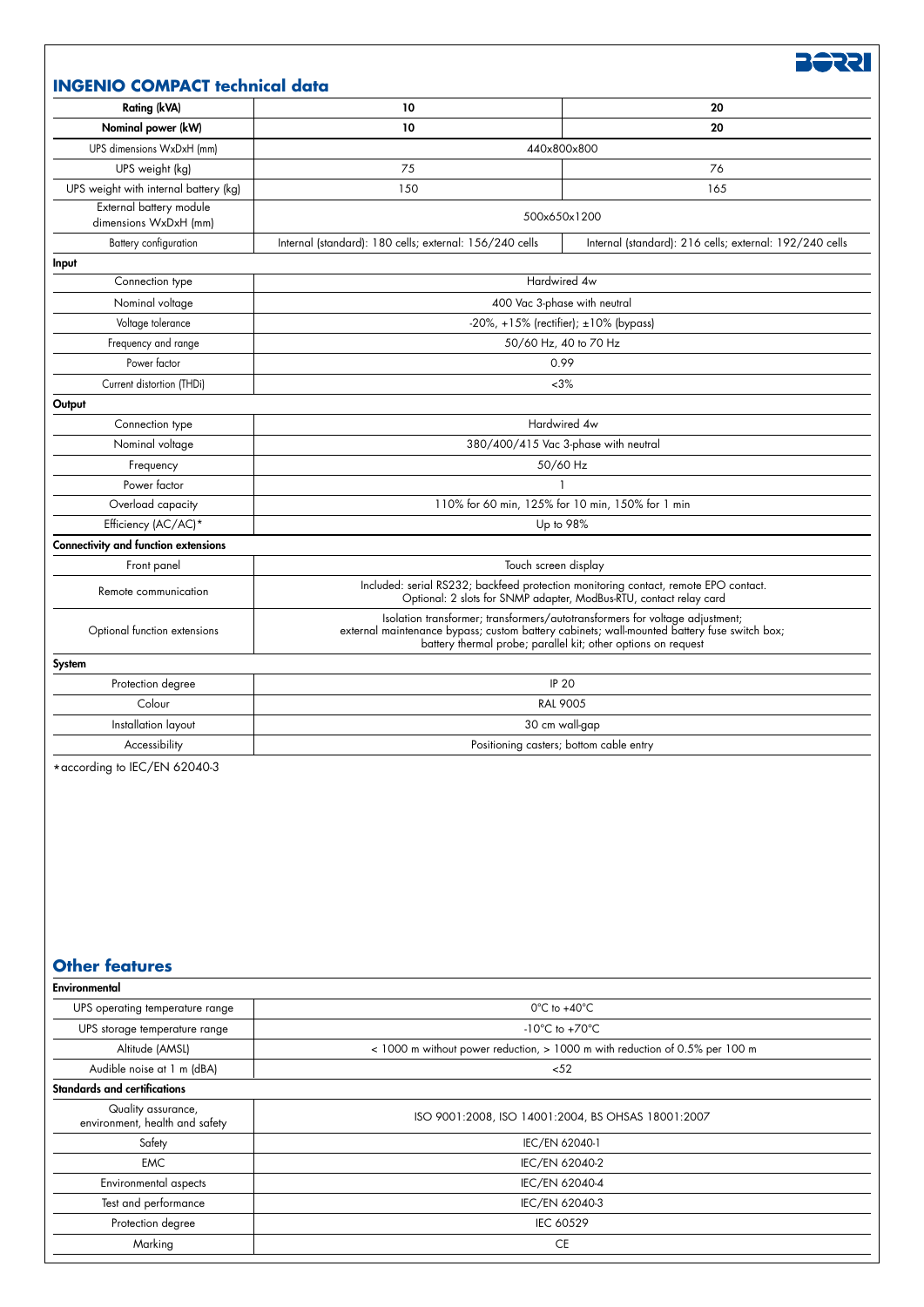**BSSE** 

#### **INGENIO COMPACT technical data**

| <b>Rating (kVA)</b>                                  | 10                                                                                                                                                                                                                                           | 20                                                      |
|------------------------------------------------------|----------------------------------------------------------------------------------------------------------------------------------------------------------------------------------------------------------------------------------------------|---------------------------------------------------------|
| Nominal power (kW)                                   | 10                                                                                                                                                                                                                                           | 20                                                      |
| UPS dimensions WxDxH (mm)                            |                                                                                                                                                                                                                                              | 440x800x800                                             |
| UPS weight (kg)                                      | 75                                                                                                                                                                                                                                           | 76                                                      |
| UPS weight with internal battery (kg)                | 150                                                                                                                                                                                                                                          | 165                                                     |
| External battery module<br>dimensions WxDxH (mm)     | 500x650x1200                                                                                                                                                                                                                                 |                                                         |
| Battery configuration                                | Internal (standard): 180 cells; external: 156/240 cells                                                                                                                                                                                      | Internal (standard): 216 cells; external: 192/240 cells |
| Input                                                |                                                                                                                                                                                                                                              |                                                         |
| Connection type                                      | Hardwired 4w                                                                                                                                                                                                                                 |                                                         |
| Nominal voltage                                      | 400 Vac 3-phase with neutral                                                                                                                                                                                                                 |                                                         |
| Voltage tolerance                                    | $-20\%$ , +15% (rectifier); $\pm 10\%$ (bypass)                                                                                                                                                                                              |                                                         |
| Frequency and range                                  | 50/60 Hz, 40 to 70 Hz                                                                                                                                                                                                                        |                                                         |
| Power factor                                         | 0.99                                                                                                                                                                                                                                         |                                                         |
| Current distortion (THDi)                            | ~13%                                                                                                                                                                                                                                         |                                                         |
| Output                                               |                                                                                                                                                                                                                                              |                                                         |
| Connection type                                      | Hardwired 4w                                                                                                                                                                                                                                 |                                                         |
| Nominal voltage                                      | 380/400/415 Vac 3-phase with neutral                                                                                                                                                                                                         |                                                         |
| Frequency                                            | 50/60 Hz                                                                                                                                                                                                                                     |                                                         |
| Power factor                                         |                                                                                                                                                                                                                                              |                                                         |
| Overload capacity                                    | 110% for 60 min, 125% for 10 min, 150% for 1 min                                                                                                                                                                                             |                                                         |
| Efficiency (AC/AC)*                                  | Up to 98%                                                                                                                                                                                                                                    |                                                         |
| Connectivity and function extensions                 |                                                                                                                                                                                                                                              |                                                         |
| Front panel                                          | Touch screen display                                                                                                                                                                                                                         |                                                         |
| Remote communication                                 | Included: serial RS232; backfeed protection monitoring contact, remote EPO contact.<br>Optional: 2 slots for SNMP adapter, ModBus-RTU, contact relay card                                                                                    |                                                         |
| Optional function extensions                         | Isolation transformer; transformers/autotransformers for voltage adjustment;<br>external maintenance bypass; custom battery cabinets; wall-mounted battery fuse switch box;<br>battery thermal probe; parallel kit; other options on request |                                                         |
| System                                               |                                                                                                                                                                                                                                              |                                                         |
| Protection degree                                    | <b>IP 20</b>                                                                                                                                                                                                                                 |                                                         |
| Colour                                               | <b>RAL 9005</b>                                                                                                                                                                                                                              |                                                         |
| Installation layout                                  | 30 cm wall-gap                                                                                                                                                                                                                               |                                                         |
| Accessibility                                        | Positioning casters; bottom cable entry                                                                                                                                                                                                      |                                                         |
|                                                      |                                                                                                                                                                                                                                              |                                                         |
| <b>Other features</b>                                |                                                                                                                                                                                                                                              |                                                         |
| Environmental                                        |                                                                                                                                                                                                                                              |                                                         |
| UPS operating temperature range                      | 0°C to +40°C<br>-10 $^{\circ}$ C to +70 $^{\circ}$ C                                                                                                                                                                                         |                                                         |
| UPS storage temperature range                        |                                                                                                                                                                                                                                              |                                                         |
| Altitude (AMSL)                                      | < 1000 m without power reduction, > 1000 m with reduction of 0.5% per 100 m<br>52                                                                                                                                                            |                                                         |
| Audible noise at 1 m (dBA)                           |                                                                                                                                                                                                                                              |                                                         |
| <b>Standards and certifications</b>                  |                                                                                                                                                                                                                                              |                                                         |
| Quality assurance,<br>environment, health and safety | ISO 9001:2008, ISO 14001:2004, BS OHSAS 18001:2007                                                                                                                                                                                           |                                                         |
| Safety                                               | IEC/EN 62040-1                                                                                                                                                                                                                               |                                                         |
| <b>EMC</b>                                           | IEC/EN 62040-2                                                                                                                                                                                                                               |                                                         |
| Environmental aspects                                | IEC/EN 62040-4                                                                                                                                                                                                                               |                                                         |
| Test and performance                                 | IEC/EN 62040-3                                                                                                                                                                                                                               |                                                         |

Protection degree IEC 60529 Marking CE **CE Service CE Service CE Service CE** Service CE Service CE Service CE Service CE Service CE Service C